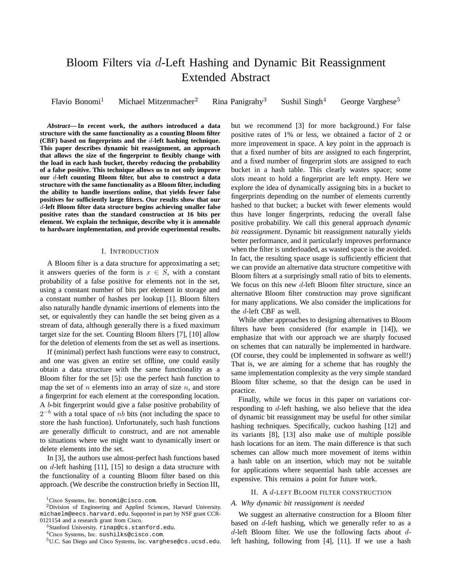# Bloom Filters via *d*-Left Hashing and Dynamic Bit Reassignment Extended Abstract

Flavio Bonomi<sup>1</sup> Michael Mitzenmacher<sup>2</sup> Rina Panigrahy<sup>3</sup> Sushil Singh<sup>4</sup> George Varghese<sup>5</sup>

*Abstract***— In recent work, the authors introduced a data structure with the same functionality as a counting Bloom filter (CBF) based on fingerprints and the** *d***-left hashing technique. This paper describes dynamic bit reassignment, an approach that allows the size of the fingerprint to flexibly change with the load in each hash bucket, thereby reducing the probability of a false positive. This technique allows us to not only improve our** *d***-left counting Bloom filter, but also to construct a data structure with the same functionality as a Bloom filter, including the ability to handle insertions online, that yields fewer false positives for sufficiently large filters. Our results show that our** *d***-left Bloom filter data structure begins achieving smaller false positive rates than the standard construction at 16 bits per element. We explain the technique, describe why it is amenable to hardware implementation, and provide experimental results.**

#### I. INTRODUCTION

A Bloom filter is a data structure for approximating a set; it answers queries of the form is  $x \in S$ , with a constant probability of a false positive for elements not in the set, using a constant number of bits per element in storage and a constant number of hashes per lookup [1]. Bloom filters also naturally handle dynamic insertions of elements into the set, or equivalently they can handle the set being given as a stream of data, although generally there is a fixed maximum target size for the set. Counting Bloom filters [7], [10] allow for the deletion of elements from the set as well as insertions.

If (minimal) perfect hash functions were easy to construct, and one was given an entire set offline, one could easily obtain a data structure with the same functionality as a Bloom filter for the set [5]: use the perfect hash function to map the set of *n* elements into an array of size *n*, and store a fingerprint for each element at the corresponding location. A *b*-bit fingerprint would give a false positive probability of 2*<sup>−</sup><sup>b</sup>* with a total space of *nb* bits (not including the space to store the hash function). Unfortunately, such hash functions are generally difficult to construct, and are not amenable to situations where we might want to dynamically insert or delete elements into the set.

In [3], the authors use almost-perfect hash functions based on *d*-left hashing [11], [15] to design a data structure with the functionality of a counting Bloom filter based on this approach. (We describe the construction briefly in Section III, but we recommend [3] for more background.) For false positive rates of 1% or less, we obtained a factor of 2 or more improvement in space. A key point in the approach is that a fixed number of bits are assigned to each fingerprint, and a fixed number of fingerprint slots are assigned to each bucket in a hash table. This clearly wastes space; some slots meant to hold a fingerprint are left empty. Here we explore the idea of dynamically assigning bits in a bucket to fingerprints depending on the number of elements currently hashed to that bucket; a bucket with fewer elements would thus have longer fingerprints, reducing the overall false positive probability. We call this general approach *dynamic bit reassignment*. Dynamic bit reassignment naturally yields better performance, and it particularly improves performance when the filter is underloaded, as wasted space is the avoided. In fact, the resulting space usage is sufficiently efficient that we can provide an alternative data structure competitive with Bloom filters at a surprisingly small ratio of bits to elements. We focus on this new *d*-left Bloom filter structure, since an alternative Bloom filter construction may prove significant for many applications. We also consider the implications for the *d*-left CBF as well.

While other approaches to designing alternatives to Bloom filters have been considered (for example in [14]), we emphasize that with our approach we are sharply focused on schemes that can naturally be implemented in hardware. (Of course, they could be implemented in software as well!) That is, we are aiming for a scheme that has roughly the same implementation complexity as the very simple standard Bloom filter scheme, so that the design can be used in practice.

Finally, while we focus in this paper on variations corresponding to *d*-left hashing, we also believe that the idea of dynamic bit reassignment may be useful for other similar hashing techniques. Specifically, cuckoo hashing [12] and its variants [8], [13] also make use of multiple possible hash locations for an item. The main difference is that such schemes can allow much more movement of items within a hash table on an insertion, which may not be suitable for applications where sequential hash table accesses are expensive. This remains a point for future work.

#### II. A *d*-LEFT BLOOM FILTER CONSTRUCTION

### *A. Why dynamic bit reassignment is needed*

We suggest an alternative construction for a Bloom filter based on *d*-left hashing, which we generally refer to as a *d*-left Bloom filter. We use the following facts about *d*left hashing, following from [4], [11]. If we use a hash

<sup>&</sup>lt;sup>1</sup>Cisco Systems, Inc. bonomi@cisco.com.

<sup>2</sup>Division of Engineering and Applied Sciences, Harvard University. michaelm@eecs.harvard.edu. Supported in part by NSF grant CCR-0121154 and a research grant from Cisco.

<sup>3</sup>Stanford University. rinap@cs.stanford.edu.

<sup>4</sup>Cisco Systems, Inc. sushilks@cisco.com.

<sup>5</sup>U.C. San Diego and Cisco Systems, Inc. varghese@cs.ucsd.edu.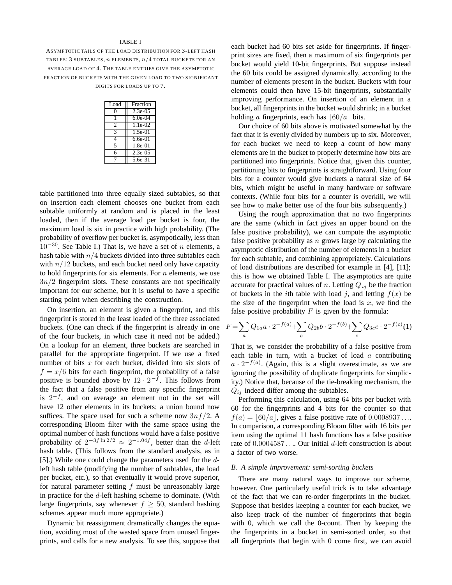## TABLE I

ASYMPTOTIC TAILS OF THE LOAD DISTRIBUTION FOR 3-LEFT HASH TABLES: 3 SUBTABLES, *n* ELEMENTS, *n/*4 TOTAL BUCKETS FOR AN AVERAGE LOAD OF 4. THE TABLE ENTRIES GIVE THE ASYMPTOTIC FRACTION OF BUCKETS WITH THE GIVEN LOAD TO TWO SIGNIFICANT DIGITS FOR LOADS UP TO 7.

| Load | Fraction   |  |
|------|------------|--|
| 0    | $2.3e-0.5$ |  |
|      | $6.0e-04$  |  |
| 2    | $1.1e-02$  |  |
| 3    | $1.5e-01$  |  |
| 4    | $6.6e-01$  |  |
| 5    | 1.8e-01    |  |
| 6    | 2.3e-05    |  |
|      | 5.6e-31    |  |

table partitioned into three equally sized subtables, so that on insertion each element chooses one bucket from each subtable uniformly at random and is placed in the least loaded, then if the average load per bucket is four, the maximum load is six in practice with high probability. (The probability of overflow per bucket is, asympotically, less than 10*<sup>−</sup>*<sup>30</sup>. See Table I.) That is, we have a set of *<sup>n</sup>* elements, a hash table with *n/*4 buckets divided into three subtables each with  $n/12$  buckets, and each bucket need only have capacity to hold fingerprints for six elements. For *n* elements, we use  $3n/2$  fingerprint slots. These constants are not specifically important for our scheme, but it is useful to have a specific starting point when describing the construction.

On insertion, an element is given a fingerprint, and this fingerprint is stored in the least loaded of the three associated buckets. (One can check if the fingerprint is already in one of the four buckets, in which case it need not be added.) On a lookup for an element, three buckets are searched in parallel for the appropriate fingerprint. If we use a fixed number of bits *x* for each bucket, divided into six slots of  $f = x/6$  bits for each fingerprint, the probability of a false positive is bounded above by 12 · 2*<sup>−</sup><sup>f</sup>* . This follows from the fact that a false positive from any specific fingerprint is 2*<sup>−</sup><sup>f</sup>* , and on average an element not in the set will have 12 other elements in its buckets; a union bound now suffices. The space used for such a scheme now 3*nf /*2. A corresponding Bloom filter with the same space using the optimal number of hash functions would have a false positive probability of  $2^{-3f \ln 2/2} \approx 2^{-1.04f}$ , better than the *d*-left hash table. (This follows from the standard analysis, as in [5].) While one could change the parameters used for the *d*left hash table (modifying the number of subtables, the load per bucket, etc.), so that eventually it would prove superior, for natural parameter setting *f* must be unreasonably large in practice for the *d*-left hashing scheme to dominate. (With large fingerprints, say whenever  $f \geq 50$ , standard hashing schemes appear much more appropriate.)

Dynamic bit reassignment dramatically changes the equation, avoiding most of the wasted space from unused fingerprints, and calls for a new analysis. To see this, suppose that each bucket had 60 bits set aside for fingerprints. If fingerprint sizes are fixed, then a maximum of six fingerprints per bucket would yield 10-bit fingerprints. But suppose instead the 60 bits could be assigned dynamically, according to the number of elements present in the bucket. Buckets with four elements could then have 15-bit fingerprints, substantially improving performance. On insertion of an element in a bucket, all fingerprints in the bucket would shrink; in a bucket holding *a* fingerprints, each has  $\left| 60/a \right|$  bits.

Our choice of 60 bits above is motivated somewhat by the fact that it is evenly divided by numbers up to six. Moreover, for each bucket we need to keep a count of how many elements are in the bucket to properly determine how bits are partitioned into fingerprints. Notice that, given this counter, partitioning bits to fingerprints is straightforward. Using four bits for a counter would give buckets a natural size of 64 bits, which might be useful in many hardware or software contexts. (While four bits for a counter is overkill, we will see how to make better use of the four bits subsequently.)

Using the rough approximation that no two fingerprints are the same (which in fact gives an upper bound on the false positive probability), we can compute the asymptotic false positive probability as *n* grows large by calculating the asymptotic distribution of the number of elements in a bucket for each subtable, and combining appropriately. Calculations of load distributions are described for example in [4], [11]; this is how we obtained Table I. The asymptotics are quite accurate for practical values of *n*. Letting  $Q_{ij}$  be the fraction of buckets in the *i*th table with load *j*, and letting  $f(x)$  be the size of the fingerprint when the load is  $x$ , we find the false positive probability  $F$  is given by the formula:

$$
F = \sum_{a} Q_{1a} a \cdot 2^{-f(a)} + \sum_{b} Q_{2b} b \cdot 2^{-f(b)} + \sum_{c} Q_{3c} c \cdot 2^{-f(c)}(1)
$$

That is, we consider the probability of a false positive from each table in turn, with a bucket of load *a* contributing  $a \cdot 2^{-f(a)}$ . (Again, this is a slight overestimate, as we are ignoring the possibility of duplicate fingerprints for simplicignoring the possibility of duplicate fingerprints for simplicity.) Notice that, because of the tie-breaking mechanism, the *Qij* indeed differ among the subtables.

Performing this calculation, using 64 bits per bucket with 60 for the fingerprints and 4 bits for the counter so that  $f(a) = |60/a|$ , gives a false positive rate of  $0.0008937...$ In comparison, a corresponding Bloom filter with 16 bits per item using the optimal 11 hash functions has a false positive rate of 0*.*0004587 *...*. Our initial *<sup>d</sup>*-left construction is about a factor of two worse.

#### *B. A simple improvement: semi-sorting buckets*

There are many natural ways to improve our scheme, however. One particularly useful trick is to take advantage of the fact that we can re-order fingerprints in the bucket. Suppose that besides keeping a counter for each bucket, we also keep track of the number of fingerprints that begin with 0, which we call the 0-count. Then by keeping the the fingerprints in a bucket in semi-sorted order, so that all fingerprints that begin with 0 come first, we can avoid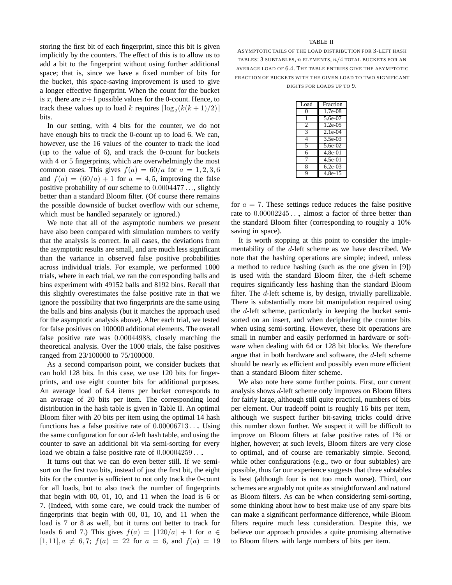storing the first bit of each fingerprint, since this bit is given implicitly by the counters. The effect of this is to allow us to add a bit to the fingerprint without using further additional space; that is, since we have a fixed number of bits for the bucket, this space-saving improvement is used to give a longer effective fingerprint. When the count for the bucket is x, there are  $x+1$  possible values for the 0-count. Hence, to track these values up to load *k* requires  $\lceil \log_2(k(k+1)/2) \rceil$ bits.

In our setting, with 4 bits for the counter, we do not have enough bits to track the 0-count up to load 6. We can, however, use the 16 values of the counter to track the load (up to the value of 6), and track the 0-count for buckets with 4 or 5 fingerprints, which are overwhelmingly the most common cases. This gives  $f(a) = 60/a$  for  $a = 1, 2, 3, 6$ and  $f(a) = (60/a) + 1$  for  $a = 4, 5$ , improving the false positive probability of our scheme to 0*.*0004477 *...*, slightly better than a standard Bloom filter. (Of course there remains the possible downside of bucket overflow with our scheme, which must be handled separately or ignored.)

We note that all of the asymptotic numbers we present have also been compared with simulation numbers to verify that the analysis is correct. In all cases, the deviations from the asymptotic results are small, and are much less significant than the variance in observed false positive probabilities across individual trials. For example, we performed 1000 trials, where in each trial, we ran the corresponding balls and bins experiment with 49152 balls and 8192 bins. Recall that this slightly overestimates the false positive rate in that we ignore the possibility that two fingerprints are the same using the balls and bins analysis (but it matches the approach used for the asymptotic analysis above). After each trial, we tested for false positives on 100000 additional elements. The overall false positive rate was 0*.*00044988, closely matching the theoretical analysis. Over the 1000 trials, the false positives ranged from 23/100000 to 75/100000.

As a second comparison point, we consider buckets that can hold 128 bits. In this case, we use 120 bits for fingerprints, and use eight counter bits for additional purposes. An average load of 6.4 items per bucket corresponds to an average of 20 bits per item. The corresponding load distribution in the hash table is given in Table II. An optimal Bloom filter with 20 bits per item using the optimal 14 hash functions has a false positive rate of 0*.*00006713 *...*. Using the same configuration for our *d*-left hash table, and using the counter to save an additional bit via semi-sorting for every load we obtain a false positive rate of 0*.*00004259 *...*.

It turns out that we can do even better still. If we semisort on the first two bits, instead of just the first bit, the eight bits for the counter is sufficient to not only track the 0-count for all loads, but to also track the number of fingerprints that begin with 00, 01, 10, and 11 when the load is 6 or 7. (Indeed, with some care, we could track the number of fingerprints that begin with 00, 01, 10, and 11 when the load is 7 or 8 as well, but it turns out better to track for loads 6 and 7.) This gives  $f(a) = |120/a| + 1$  for  $a \in$  $[1, 11], a \neq 6, 7; f(a) = 22$  for  $a = 6$ , and  $f(a) = 19$ 

## TABLE II

ASYMPTOTIC TAILS OF THE LOAD DISTRIBUTION FOR 3-LEFT HASH TABLES: 3 SUBTABLES, *n* ELEMENTS, *n/*4 TOTAL BUCKETS FOR AN AVERAGE LOAD OF 6*.*4. THE TABLE ENTRIES GIVE THE ASYMPTOTIC FRACTION OF BUCKETS WITH THE GIVEN LOAD TO TWO SIGNIFICANT DIGITS FOR LOADS UP TO 9.

| Load | Fraction              |
|------|-----------------------|
| O    | $1.7e-08$             |
| 1    | $5.6e-07$             |
| 2    | $1.2e-0.5$            |
| 3    | $2.1e-04$             |
| 4    | $3.5e-03$             |
| 5    | 5.6e-02               |
| 6    | $4.8e-01$             |
|      | $4.5e-01$             |
| 8    | $6.2e-03$             |
| q    | $\overline{4.8e}$ -15 |

for  $a = 7$ . These settings reduce reduces the false positive rate to 0*.*00002245 *...*, almost a factor of three better than the standard Bloom filter (corresponding to roughly a 10% saving in space).

It is worth stopping at this point to consider the implementability of the *d*-left scheme as we have described. We note that the hashing operations are simple; indeed, unless a method to reduce hashing (such as the one given in [9]) is used with the standard Bloom filter, the *d*-left scheme requires significantly less hashing than the standard Bloom filter. The *d*-left scheme is, by design, trivially parellizable. There is substantially more bit manipulation required using the *d*-left scheme, particularly in keeping the bucket semisorted on an insert, and when deciphering the counter bits when using semi-sorting. However, these bit operations are small in number and easily performed in hardware or software when dealing with 64 or 128 bit blocks. We therefore argue that in both hardware and software, the *d*-left scheme should be nearly as efficient and possibly even more efficient than a standard Bloom filter scheme.

We also note here some further points. First, our current analysis shows *d*-left scheme only improves on Bloom filters for fairly large, although still quite practical, numbers of bits per element. Our tradeoff point is roughly 16 bits per item, although we suspect further bit-saving tricks could drive this number down further. We suspect it will be difficult to improve on Bloom filters at false positive rates of 1% or higher, however; at such levels, Bloom filters are very close to optimal, and of course are remarkably simple. Second, while other configurations (e.g., two or four subtables) are possible, thus far our experience suggests that three subtables is best (although four is not too much worse). Third, our schemes are arguably not quite as straightforward and natural as Bloom filters. As can be when considering semi-sorting, some thinking about how to best make use of any spare bits can make a significant performance difference, while Bloom filters require much less consideration. Despite this, we believe our approach provides a quite promising alternative to Bloom filters with large numbers of bits per item.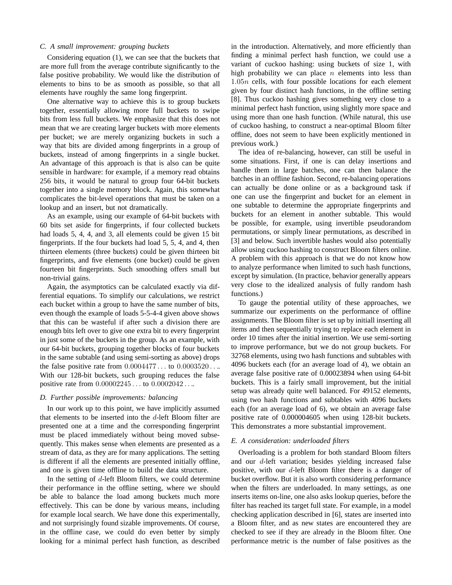## *C. A small improvement: grouping buckets*

Considering equation (1), we can see that the buckets that are more full from the average contribute significantly to the false positive probability. We would like the distribution of elements to bins to be as smooth as possible, so that all elements have roughly the same long fingerprint.

One alternative way to achieve this is to group buckets together, essentially allowing more full buckets to swipe bits from less full buckets. We emphasize that this does not mean that we are creating larger buckets with more elements per bucket; we are merely organizing buckets in such a way that bits are divided among fingerprints in a group of buckets, instead of among fingerprints in a single bucket. An advantage of this approach is that is also can be quite sensible in hardware: for example, if a memory read obtains 256 bits, it would be natural to group four 64-bit buckets together into a single memory block. Again, this somewhat complicates the bit-level operations that must be taken on a lookup and an insert, but not dramatically.

As an example, using our example of 64-bit buckets with 60 bits set aside for fingerprints, if four collected buckets had loads 5, 4, 4, and 3, all elements could be given 15 bit fingerprints. If the four buckets had load 5, 5, 4, and 4, then thirteen elements (three buckets) could be given thirteen bit fingerprints, and five elements (one bucket) could be given fourteen bit fingerprints. Such smoothing offers small but non-trivial gains.

Again, the asymptotics can be calculated exactly via differential equations. To simplify our calculations, we restrict each bucket within a group to have the same number of bits, even though the example of loads 5-5-4-4 given above shows that this can be wasteful if after such a division there are enough bits left over to give one extra bit to every fingerprint in just some of the buckets in the group. As an example, with our 64-bit buckets, grouping together blocks of four buckets in the same subtable (and using semi-sorting as above) drops the false positive rate from 0*.*0004477 *...* to 0*.*0003520 *...*. With our 128-bit buckets, such grouping reduces the false positive rate from 0*.*00002245 *...* to 0*.*0002042 *...*.

## *D. Further possible improvements: balancing*

In our work up to this point, we have implicitly assumed that elements to be inserted into the *d*-left Bloom filter are presented one at a time and the corresponding fingerprint must be placed immediately without being moved subsequently. This makes sense when elements are presented as a stream of data, as they are for many applications. The setting is different if all the elements are presented initially offline, and one is given time offline to build the data structure.

In the setting of *d*-left Bloom filters, we could determine their performance in the offline setting, where we should be able to balance the load among buckets much more effectively. This can be done by various means, including for example local search. We have done this experimentally, and not surprisingly found sizable improvements. Of course, in the offline case, we could do even better by simply looking for a minimal perfect hash function, as described

in the introduction. Alternatively, and more efficiently than finding a minimal perfect hash function, we could use a variant of cuckoo hashing: using buckets of size 1, with high probability we can place *n* elements into less than 1*.*05*<sup>n</sup>* cells, with four possible locations for each element given by four distinct hash functions, in the offline setting [8]. Thus cuckoo hashing gives something very close to a minimal perfect hash function, using slightly more space and using more than one hash function. (While natural, this use of cuckoo hashing, to construct a near-optimal Bloom filter offline, does not seem to have been explicitly mentioned in previous work.)

The idea of re-balancing, however, can still be useful in some situations. First, if one is can delay insertions and handle them in large batches, one can then balance the batches in an offline fashion. Second, re-balancing operations can actually be done online or as a background task if one can use the fingerprint and bucket for an element in one subtable to determine the appropriate fingerprints and buckets for an element in another subtable. This would be possible, for example, using invertible pseudorandom permutations, or simply linear permutations, as described in [3] and below. Such invertible hashes would also potentially allow using cuckoo hashing to construct Bloom filters online. A problem with this approach is that we do not know how to analyze performance when limited to such hash functions, except by simulation. (In practice, behavior generally appears very close to the idealized analysis of fully random hash functions.)

To gauge the potential utility of these approaches, we summarize our experiments on the performance of offline assignments. The Bloom filter is set up by initiall inserting all items and then sequentially trying to replace each element in order 10 times after the initial insertion. We use semi-sorting to improve performance, but we do not group buckets. For 32768 elements, using two hash functions and subtables with 4096 buckets each (for an average load of 4), we obtain an average false positive rate of 0.00023894 when using 64-bit buckets. This is a fairly small improvement, but the initial setup was already quite well balanced. For 49152 elements, using two hash functions and subtables with 4096 buckets each (for an average load of 6), we obtain an average false positive rate of 0.000004605 when using 128-bit buckets. This demonstrates a more substantial improvement.

# *E. A consideration: underloaded filters*

Overloading is a problem for both standard Bloom filters and our *d*-left variation; besides yielding increased false positive, with our *d*-left Bloom filter there is a danger of bucket overflow. But it is also worth considering performance when the filters are underloaded. In many settings, as one inserts items on-line, one also asks lookup queries, before the filter has reached its target full state. For example, in a model checking application described in [6], states are inserted into a Bloom filter, and as new states are encountered they are checked to see if they are already in the Bloom filter. One performance metric is the number of false positives as the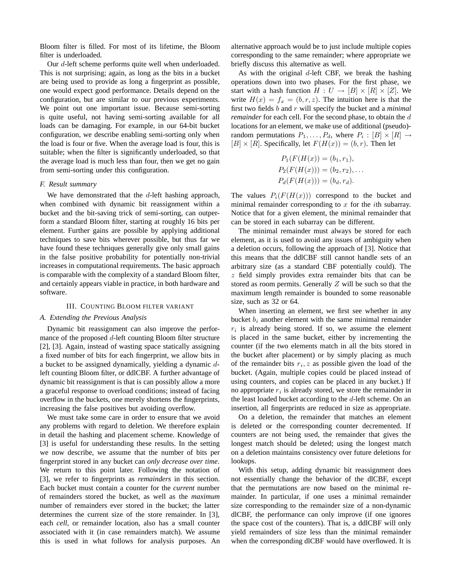Bloom filter is filled. For most of its lifetime, the Bloom filter is underloaded.

Our *d*-left scheme performs quite well when underloaded. This is not surprising; again, as long as the bits in a bucket are being used to provide as long a fingerprint as possible, one would expect good performance. Details depend on the configuration, but are similar to our previous experiments. We point out one important issue. Because semi-sorting is quite useful, not having semi-sorting available for all loads can be damaging. For example, in our 64-bit bucket configuration, we describe enabling semi-sorting only when the load is four or five. When the average load is four, this is suitable; when the filter is significantly underloaded, so that the average load is much less than four, then we get no gain from semi-sorting under this configuration.

#### *F. Result summary*

We have demonstrated that the *d*-left hashing approach, when combined with dynamic bit reassignment within a bucket and the bit-saving trick of semi-sorting, can outperform a standard Bloom filter, starting at roughly 16 bits per element. Further gains are possible by applying additional techniques to save bits wherever possible, but thus far we have found these techniques generally give only small gains in the false positive probability for potentially non-trivial increases in computational requirements. The basic approach is comparable with the complexity of a standard Bloom filter, and certainly appears viable in practice, in both hardware and software.

## III. COUNTING BLOOM FILTER VARIANT

# *A. Extending the Previous Analysis*

Dynamic bit reassignment can also improve the performance of the proposed *d*-left counting Bloom filter structure [2], [3]. Again, instead of wasting space statically assigning a fixed number of bits for each fingerprint, we allow bits in a bucket to be assigned dynamically, yielding a dynamic *d*left counting Bloom filter, or ddlCBF. A further advantage of dynamic bit reassignment is that is can possibly allow a more a graceful response to overload conditions; instead of facing overflow in the buckets, one merely shortens the fingerprints, increasing the false positives but avoiding overflow.

We must take some care in order to ensure that we avoid any problems with regard to deletion. We therefore explain in detail the hashing and placement scheme. Knowledge of [3] is useful for understanding these results. In the setting we now describe, we assume that the number of bits per fingerprint stored in any bucket can *only decrease over time*. We return to this point later. Following the notation of [3], we refer to fingerprints as *remainders* in this section. Each bucket must contain a counter for the *current* number of remainders stored the bucket, as well as the *maximum* number of remainders ever stored in the bucket; the latter determines the current size of the store remainder. In [3], each *cell*, or remainder location, also has a small counter associated with it (in case remainders match). We assume this is used in what follows for analysis purposes. An

alternative approach would be to just include multiple copies corresponding to the same remainder; where appropriate we briefly discuss this alternative as well.

As with the original *d*-left CBF, we break the hashing operations down into two phases. For the first phase, we start with a hash function  $H: U \to [B] \times [R] \times [Z]$ . We write  $H(x) = f_x = (b, r, z)$ . The intuition here is that the first two fields *b* and *r* will specify the bucket and a *minimal remainder* for each cell. For the second phase, to obtain the *d* locations for an element, we make use of additional (pseudo) random permutations  $P_1, \ldots, P_d$ , where  $P_i : [B] \times [R] \rightarrow$  $[B] \times [R]$ . Specifically, let  $F(H(x)) = (b, r)$ . Then let

$$
P_1(F(H(x)) = (b_1, r_1),
$$
  
\n
$$
P_2(F(H(x))) = (b_2, r_2), ...
$$
  
\n
$$
P_d(F(H(x))) = (b_d, r_d).
$$

The values  $P_i(F(H(x)))$  correspond to the bucket and minimal remainder corresponding to *x* for the *i*th subarray. Notice that for a given element, the minimal remainder that can be stored in each subarray can be different.

The minimal remainder must always be stored for each element, as it is used to avoid any issues of ambiguity when a deletion occurs, following the approach of [3]. Notice that this means that the ddlCBF still cannot handle sets of an arbitrary size (as a standard CBF potentially could). The *z* field simply provides extra remainder bits that can be stored as room permits. Generally *Z* will be such so that the maximum length remainder is bounded to some reasonable size, such as 32 or 64.

When inserting an element, we first see whether in any bucket  $b_i$  another element with the same minimal remainder  $r_i$  is already being stored. If so, we assume the element is placed in the same bucket, either by incrementing the counter (if the two elements match in all the bits stored in the bucket after placement) or by simply placing as much of the remainder bits  $r_i$ , z as possible given the load of the bucket. (Again, multiple copies could be placed instead of using counters, and copies can be placed in any bucket.) If no appropriate  $r_i$  is already stored, we store the remainder in the least loaded bucket according to the *d*-left scheme. On an insertion, all fingerprints are reduced in size as appropriate.

On a deletion, the remainder that matches an element is deleted or the corresponding counter decremented. If counters are not being used, the remainder that gives the longest match should be deleted; using the longest match on a deletion maintains consistency over future deletions for lookups.

With this setup, adding dynamic bit reassignment does not essentially change the behavior of the dlCBF, except that the permutations are now based on the minimal remainder. In particular, if one uses a minimal remainder size corresponding to the remainder size of a non-dynamic dlCBF, the performance can only improve (if one ignores the space cost of the counters). That is, a ddlCBF will only yield remainders of size less than the minimal remainder when the corresponding dlCBF would have overflowed. It is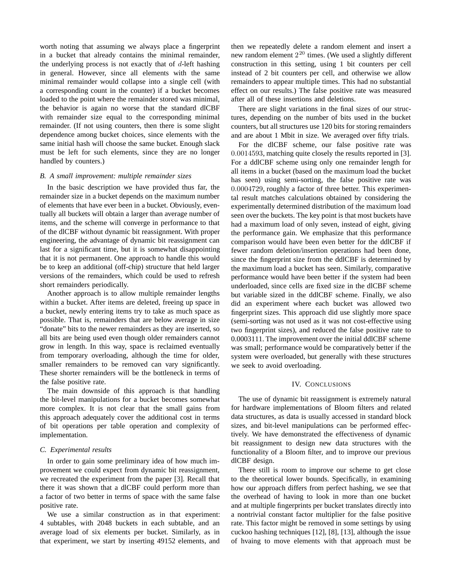worth noting that assuming we always place a fingerprint in a bucket that already contains the minimal remainder, the underlying process is not exactly that of *d*-left hashing in general. However, since all elements with the same minimal remainder would collapse into a single cell (with a corresponding count in the counter) if a bucket becomes loaded to the point where the remainder stored was minimal, the behavior is again no worse that the standard dlCBF with remainder size equal to the corresponding minimal remainder. (If not using counters, then there is some slight dependence among bucket choices, since elements with the same initial hash will choose the same bucket. Enough slack must be left for such elements, since they are no longer handled by counters.)

## *B. A small improvement: multiple remainder sizes*

In the basic description we have provided thus far, the remainder size in a bucket depends on the maximum number of elements that have ever been in a bucket. Obviously, eventually all buckets will obtain a larger than average number of items, and the scheme will converge in performance to that of the dlCBF without dynamic bit reassignment. With proper engineering, the advantage of dynamic bit reassignment can last for a significant time, but it is somewhat disappointing that it is not permanent. One approach to handle this would be to keep an additional (off-chip) structure that held larger versions of the remainders, which could be used to refresh short remainders periodically.

Another approach is to allow multiple remainder lengths within a bucket. After items are deleted, freeing up space in a bucket, newly entering items try to take as much space as possible. That is, remainders that are below average in size "donate" bits to the newer remainders as they are inserted, so all bits are being used even though older remainders cannot grow in length. In this way, space is reclaimed eventually from temporary overloading, although the time for older, smaller remainders to be removed can vary significantly. These shorter remainders will be the bottleneck in terms of the false positive rate.

The main downside of this approach is that handling the bit-level manipulations for a bucket becomes somewhat more complex. It is not clear that the small gains from this approach adequately cover the additional cost in terms of bit operations per table operation and complexity of implementation.

# *C. Experimental results*

In order to gain some preliminary idea of how much improvement we could expect from dynamic bit reassignment, we recreated the experiment from the paper [3]. Recall that there it was shown that a dlCBF could perform more than a factor of two better in terms of space with the same false positive rate.

We use a similar construction as in that experiment: 4 subtables, with 2048 buckets in each subtable, and an average load of six elements per bucket. Similarly, as in that experiment, we start by inserting 49152 elements, and then we repeatedly delete a random element and insert a new random element  $2^{20}$  times. (We used a slightly different construction in this setting, using 1 bit counters per cell instead of 2 bit counters per cell, and otherwise we allow remainders to appear multiple times. This had no substantial effect on our results.) The false positive rate was measured after all of these insertions and deletions.

There are slight variations in the final sizes of our structures, depending on the number of bits used in the bucket counters, but all structures use 120 bits for storing remainders and are about 1 Mbit in size. We averaged over fifty trials.

For the dlCBF scheme, our false positive rate was 0*.*0014593, matching quite closely the results reported in [3]. For a ddlCBF scheme using only one remainder length for all items in a bucket (based on the maximum load the bucket has seen) using semi-sorting, the false positive rate was 0*.*0004729, roughly a factor of three better. This experimental result matches calculations obtained by considering the experimentally determined distribution of the maximum load seen over the buckets. The key point is that most buckets have had a maximum load of only seven, instead of eight, giving the performance gain. We emphasize that this performance comparison would have been even better for the ddlCBF if fewer random deletion/insertion operations had been done, since the fingerprint size from the ddlCBF is determined by the maximum load a bucket has seen. Similarly, comparative performance would have been better if the system had been underloaded, since cells are fixed size in the dlCBF scheme but variable sized in the ddlCBF scheme. Finally, we also did an experiment where each bucket was allowed two fingerprint sizes. This approach did use slightly more space (semi-sorting was not used as it was not cost-effective using two fingerprint sizes), and reduced the false positive rate to 0.0003111. The improvement over the initial ddlCBF scheme was small; performance would be comparatively better if the system were overloaded, but generally with these structures we seek to avoid overloading.

# IV. CONCLUSIONS

The use of dynamic bit reassignment is extremely natural for hardware implementations of Bloom filters and related data structures, as data is usually accessed in standard block sizes, and bit-level manipulations can be performed effectively. We have demonstrated the effectiveness of dynamic bit reassignment to design new data structures with the functionality of a Bloom filter, and to improve our previous dlCBF design.

There still is room to improve our scheme to get close to the theoretical lower bounds. Specifically, in examining how our approach differs from perfect hashing, we see that the overhead of having to look in more than one bucket and at multiple fingerprints per bucket translates directly into a nontrivial constant factor multiplier for the false positive rate. This factor might be removed in some settings by using cuckoo hashing techniques [12], [8], [13], although the issue of hvaing to move elements with that approach must be